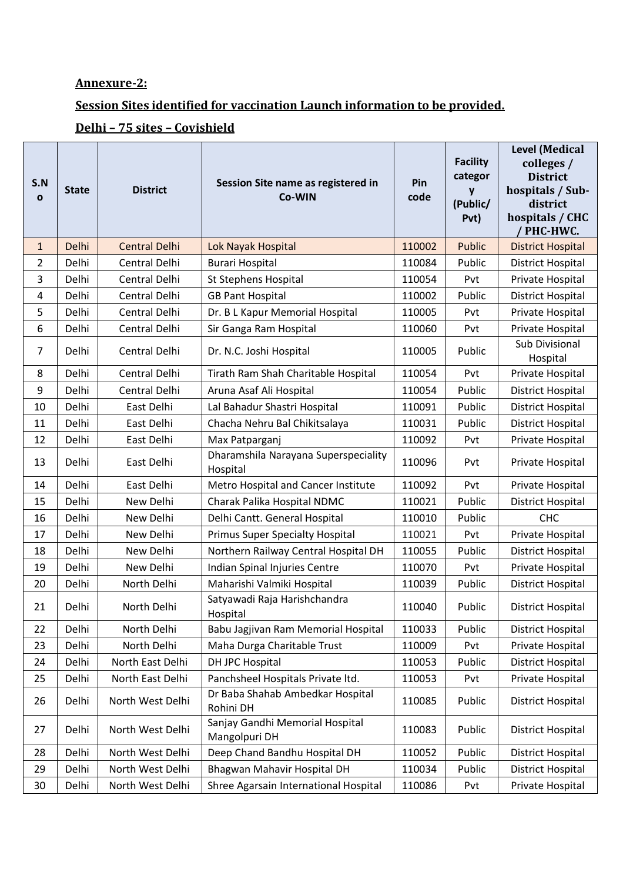## **Annexure-2:**

## **Session Sites identified for vaccination Launch information to be provided.**

## **Delhi – 75 sites – Covishield**

| S.N<br>$\mathbf{o}$ | <b>State</b> | <b>District</b>      | Session Site name as registered in<br>Co-WIN     | Pin<br>code | <b>Facility</b><br>categor<br>y<br>(Public/<br>Pvt) | Level (Medical<br>colleges /<br><b>District</b><br>hospitals / Sub-<br>district<br>hospitals / CHC<br>' PHC-HWC. |
|---------------------|--------------|----------------------|--------------------------------------------------|-------------|-----------------------------------------------------|------------------------------------------------------------------------------------------------------------------|
| $\mathbf{1}$        | Delhi        | <b>Central Delhi</b> | Lok Nayak Hospital                               | 110002      | <b>Public</b>                                       | <b>District Hospital</b>                                                                                         |
| 2                   | Delhi        | Central Delhi        | <b>Burari Hospital</b>                           | 110084      | Public                                              | District Hospital                                                                                                |
| 3                   | Delhi        | Central Delhi        | St Stephens Hospital                             | 110054      | Pvt                                                 | Private Hospital                                                                                                 |
| 4                   | Delhi        | Central Delhi        | <b>GB Pant Hospital</b>                          | 110002      | Public                                              | District Hospital                                                                                                |
| 5                   | Delhi        | Central Delhi        | Dr. B L Kapur Memorial Hospital                  | 110005      | Pvt                                                 | Private Hospital                                                                                                 |
| 6                   | Delhi        | Central Delhi        | Sir Ganga Ram Hospital                           | 110060      | Pvt                                                 | Private Hospital                                                                                                 |
| 7                   | Delhi        | Central Delhi        | Dr. N.C. Joshi Hospital                          | 110005      | Public                                              | Sub Divisional<br>Hospital                                                                                       |
| 8                   | Delhi        | Central Delhi        | Tirath Ram Shah Charitable Hospital              | 110054      | Pvt                                                 | Private Hospital                                                                                                 |
| 9                   | Delhi        | Central Delhi        | Aruna Asaf Ali Hospital                          | 110054      | Public                                              | District Hospital                                                                                                |
| 10                  | Delhi        | East Delhi           | Lal Bahadur Shastri Hospital                     | 110091      | Public                                              | <b>District Hospital</b>                                                                                         |
| 11                  | Delhi        | East Delhi           | Chacha Nehru Bal Chikitsalaya                    | 110031      | Public                                              | District Hospital                                                                                                |
| 12                  | Delhi        | East Delhi           | Max Patparganj                                   | 110092      | Pvt                                                 | Private Hospital                                                                                                 |
| 13                  | Delhi        | East Delhi           | Dharamshila Narayana Superspeciality<br>Hospital | 110096      | Pvt                                                 | Private Hospital                                                                                                 |
| 14                  | Delhi        | East Delhi           | Metro Hospital and Cancer Institute              | 110092      | Pvt                                                 | Private Hospital                                                                                                 |
| 15                  | Delhi        | New Delhi            | Charak Palika Hospital NDMC                      | 110021      | Public                                              | <b>District Hospital</b>                                                                                         |
| 16                  | Delhi        | New Delhi            | Delhi Cantt. General Hospital                    | 110010      | Public                                              | <b>CHC</b>                                                                                                       |
| 17                  | Delhi        | New Delhi            | <b>Primus Super Specialty Hospital</b>           | 110021      | Pvt                                                 | Private Hospital                                                                                                 |
| 18                  | Delhi        | New Delhi            | Northern Railway Central Hospital DH             | 110055      | Public                                              | <b>District Hospital</b>                                                                                         |
| 19                  | Delhi        | New Delhi            | Indian Spinal Injuries Centre                    | 110070      | Pvt                                                 | Private Hospital                                                                                                 |
| 20                  | Delhi        | North Delhi          | Maharishi Valmiki Hospital                       | 110039      | Public                                              | District Hospital                                                                                                |
| 21                  | Delhi        | North Delhi          | Satyawadi Raja Harishchandra<br>Hospital         | 110040      | Public                                              | District Hospital                                                                                                |
| 22                  | Delhi        | North Delhi          | Babu Jagjivan Ram Memorial Hospital              | 110033      | Public                                              | District Hospital                                                                                                |
| 23                  | Delhi        | North Delhi          | Maha Durga Charitable Trust                      | 110009      | Pvt                                                 | Private Hospital                                                                                                 |
| 24                  | Delhi        | North East Delhi     | DH JPC Hospital                                  | 110053      | Public                                              | District Hospital                                                                                                |
| 25                  | Delhi        | North East Delhi     | Panchsheel Hospitals Private ltd.                | 110053      | Pvt                                                 | Private Hospital                                                                                                 |
| 26                  | Delhi        | North West Delhi     | Dr Baba Shahab Ambedkar Hospital<br>Rohini DH    | 110085      | Public                                              | District Hospital                                                                                                |
| 27                  | Delhi        | North West Delhi     | Sanjay Gandhi Memorial Hospital<br>Mangolpuri DH | 110083      | Public                                              | <b>District Hospital</b>                                                                                         |
| 28                  | Delhi        | North West Delhi     | Deep Chand Bandhu Hospital DH                    | 110052      | Public                                              | District Hospital                                                                                                |
| 29                  | Delhi        | North West Delhi     | Bhagwan Mahavir Hospital DH                      | 110034      | Public                                              | District Hospital                                                                                                |
| 30                  | Delhi        | North West Delhi     | Shree Agarsain International Hospital            | 110086      | Pvt                                                 | Private Hospital                                                                                                 |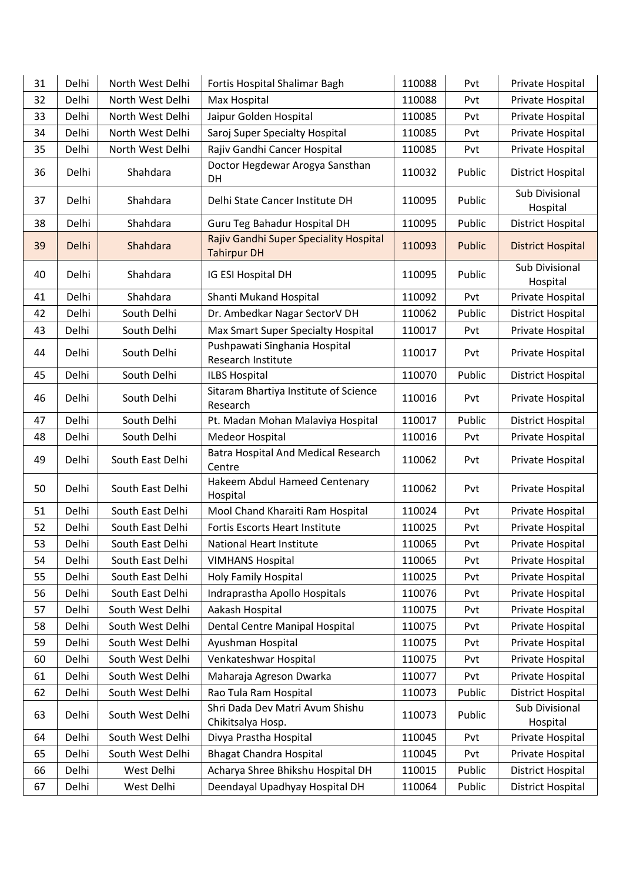| 31 | Delhi | North West Delhi | Fortis Hospital Shalimar Bagh                                | 110088 | Pvt    | Private Hospital                  |
|----|-------|------------------|--------------------------------------------------------------|--------|--------|-----------------------------------|
| 32 | Delhi | North West Delhi | Max Hospital                                                 | 110088 | Pvt    | Private Hospital                  |
| 33 | Delhi | North West Delhi | Jaipur Golden Hospital                                       | 110085 | Pvt    | Private Hospital                  |
| 34 | Delhi | North West Delhi | Saroj Super Specialty Hospital                               | 110085 | Pvt    | Private Hospital                  |
| 35 | Delhi | North West Delhi | Rajiv Gandhi Cancer Hospital                                 | 110085 | Pvt    | Private Hospital                  |
| 36 | Delhi | Shahdara         | Doctor Hegdewar Arogya Sansthan<br>DH                        | 110032 | Public | District Hospital                 |
| 37 | Delhi | Shahdara         | Delhi State Cancer Institute DH                              | 110095 | Public | <b>Sub Divisional</b><br>Hospital |
| 38 | Delhi | Shahdara         | Guru Teg Bahadur Hospital DH                                 | 110095 | Public | District Hospital                 |
| 39 | Delhi | Shahdara         | Rajiv Gandhi Super Speciality Hospital<br><b>Tahirpur DH</b> | 110093 | Public | <b>District Hospital</b>          |
| 40 | Delhi | Shahdara         | IG ESI Hospital DH                                           | 110095 | Public | Sub Divisional<br>Hospital        |
| 41 | Delhi | Shahdara         | Shanti Mukand Hospital                                       | 110092 | Pvt    | Private Hospital                  |
| 42 | Delhi | South Delhi      | Dr. Ambedkar Nagar SectorV DH                                | 110062 | Public | <b>District Hospital</b>          |
| 43 | Delhi | South Delhi      | Max Smart Super Specialty Hospital                           | 110017 | Pvt    | Private Hospital                  |
| 44 | Delhi | South Delhi      | Pushpawati Singhania Hospital<br>Research Institute          | 110017 | Pvt    | Private Hospital                  |
| 45 | Delhi | South Delhi      | <b>ILBS Hospital</b>                                         | 110070 | Public | <b>District Hospital</b>          |
| 46 | Delhi | South Delhi      | Sitaram Bhartiya Institute of Science<br>Research            | 110016 | Pvt    | Private Hospital                  |
| 47 | Delhi | South Delhi      | Pt. Madan Mohan Malaviya Hospital                            | 110017 | Public | <b>District Hospital</b>          |
| 48 | Delhi | South Delhi      | Medeor Hospital                                              | 110016 | Pvt    | Private Hospital                  |
| 49 | Delhi | South East Delhi | <b>Batra Hospital And Medical Research</b><br>Centre         | 110062 | Pvt    | Private Hospital                  |
| 50 | Delhi | South East Delhi | Hakeem Abdul Hameed Centenary<br>Hospital                    | 110062 | Pvt    | Private Hospital                  |
| 51 | Delhi | South East Delhi | Mool Chand Kharaiti Ram Hospital                             | 110024 | Pvt    | Private Hospital                  |
| 52 | Delhi | South East Delhi | <b>Fortis Escorts Heart Institute</b>                        | 110025 | Pvt    | Private Hospital                  |
| 53 | Delhi | South East Delhi | National Heart Institute                                     | 110065 | Pvt    | Private Hospital                  |
| 54 | Delhi | South East Delhi | <b>VIMHANS Hospital</b>                                      | 110065 | Pvt    | Private Hospital                  |
| 55 | Delhi | South East Delhi | <b>Holy Family Hospital</b>                                  | 110025 | Pvt    | Private Hospital                  |
| 56 | Delhi | South East Delhi | Indraprastha Apollo Hospitals                                | 110076 | Pvt    | Private Hospital                  |
| 57 | Delhi | South West Delhi | Aakash Hospital                                              | 110075 | Pvt    | Private Hospital                  |
| 58 | Delhi | South West Delhi | Dental Centre Manipal Hospital                               | 110075 | Pvt    | Private Hospital                  |
| 59 | Delhi | South West Delhi | Ayushman Hospital                                            | 110075 | Pvt    | Private Hospital                  |
| 60 | Delhi | South West Delhi | Venkateshwar Hospital                                        | 110075 | Pvt    | Private Hospital                  |
| 61 | Delhi | South West Delhi | Maharaja Agreson Dwarka                                      | 110077 | Pvt    | Private Hospital                  |
| 62 | Delhi | South West Delhi | Rao Tula Ram Hospital                                        | 110073 | Public | District Hospital                 |
| 63 | Delhi | South West Delhi | Shri Dada Dev Matri Avum Shishu<br>Chikitsalya Hosp.         | 110073 | Public | Sub Divisional<br>Hospital        |
| 64 | Delhi | South West Delhi | Divya Prastha Hospital                                       | 110045 | Pvt    | Private Hospital                  |
| 65 | Delhi | South West Delhi | <b>Bhagat Chandra Hospital</b>                               | 110045 | Pvt    | Private Hospital                  |
| 66 | Delhi | West Delhi       | Acharya Shree Bhikshu Hospital DH                            | 110015 | Public | District Hospital                 |
| 67 | Delhi | West Delhi       | Deendayal Upadhyay Hospital DH                               | 110064 | Public | District Hospital                 |